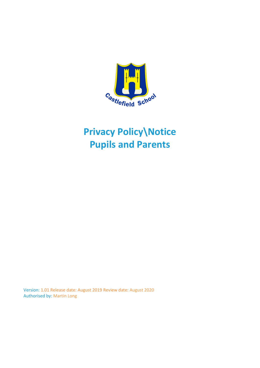

# **Privacy Policy\Notice Pupils and Parents**

Version: 1.01 Release date: August 2019 Review date: August 2020 Authorised by: Martin Long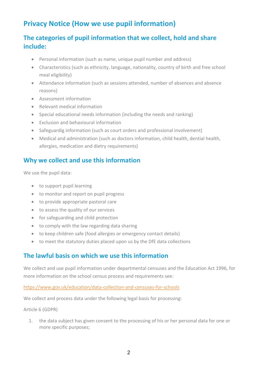# **Privacy Notice (How we use pupil information)**

# **The categories of pupil information that we collect, hold and share include:**

- Personal information (such as name, unique pupil number and address)
- Characteristics (such as ethnicity, language, nationality, country of birth and free school meal eligibility)
- Attendance information (such as sessions attended, number of absences and absence reasons)
- Assessment information
- Relevant medical information
- Special educational needs information (including the needs and ranking)
- Exclusion and behavioural information
- Safeguardig information (such as court orders and professional involvement)
- Medical and administration (such as doctors information, child health, dential health, allergies, medication and dietry requirements)

## **Why we collect and use this information**

We use the pupil data:

- to support pupil learning
- to monitor and report on pupil progress
- to provide appropriate pastoral care
- to assess the quality of our services
- for safeguarding and child protection
- to comply with the law regarding data sharing
- to keep children safe (food allergies or emergency contact details)
- to meet the statutory duties placed upon us by the DfE data collections

### **The lawful basis on which we use this information**

We collect and use pupil information under departmental censuses and the Education Act 1996, for more information on the school census process and requirements see:

#### <https://www.gov.uk/education/data-collection-and-censuses-for-schools>

We collect and process data under the following legal basis for processing:

#### Article 6 (GDPR)

1. the data subject has given consent to the processing of his or her personal data for one or more specific purposes;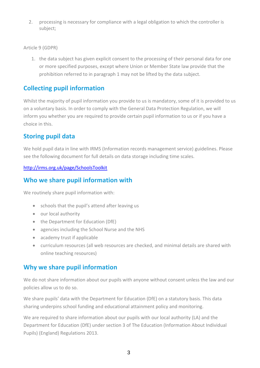2. processing is necessary for compliance with a legal obligation to which the controller is subject;

Article 9 (GDPR)

1. the data subject has given explicit consent to the processing of their personal data for one or more specified purposes, except where Union or Member State law provide that the prohibition referred to in paragraph 1 may not be lifted by the data subject.

# **Collecting pupil information**

Whilst the majority of pupil information you provide to us is mandatory, some of it is provided to us on a voluntary basis. In order to comply with the General Data Protection Regulation, we will inform you whether you are required to provide certain pupil information to us or if you have a choice in this.

## **Storing pupil data**

We hold pupil data in line with IRMS (Information records management service) guidelines. Please see the following document for full details on data storage including time scales.

#### <http://irms.org.uk/page/SchoolsToolkit>

### **Who we share pupil information with**

We routinely share pupil information with:

- schools that the pupil's attend after leaving us
- our local authority
- the Department for Education (DfE)
- agencies including the School Nurse and the NHS
- academy trust if applicable
- curriculum resources (all web resources are checked, and minimal details are shared with online teaching resources)

### **Why we share pupil information**

We do not share information about our pupils with anyone without consent unless the law and our policies allow us to do so.

We share pupils' data with the Department for Education (DfE) on a statutory basis. This data sharing underpins school funding and educational attainment policy and monitoring.

We are required to share information about our pupils with our local authority (LA) and the Department for Education (DfE) under section 3 of The Education (Information About Individual Pupils) (England) Regulations 2013.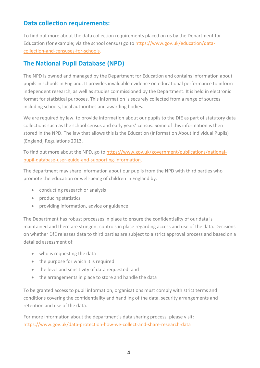## **Data collection requirements:**

To find out more about the data collection requirements placed on us by the Department for Education (for example; via the school census) go to [https://www.gov.uk/education/data](https://www.gov.uk/education/data-collection-and-censuses-for-schools)[collection-and-censuses-for-schools.](https://www.gov.uk/education/data-collection-and-censuses-for-schools)

# **The National Pupil Database (NPD)**

The NPD is owned and managed by the Department for Education and contains information about pupils in schools in England. It provides invaluable evidence on educational performance to inform independent research, as well as studies commissioned by the Department. It is held in electronic format for statistical purposes. This information is securely collected from a range of sources including schools, local authorities and awarding bodies.

We are required by law, to provide information about our pupils to the DfE as part of statutory data collections such as the school census and early years' census. Some of this information is then stored in the NPD. The law that allows this is the Education (Information About Individual Pupils) (England) Regulations 2013.

To find out more about the NPD, go to [https://www.gov.uk/government/publications/national](https://www.gov.uk/government/publications/national-pupil-database-user-guide-and-supporting-information)[pupil-database-user-guide-and-supporting-information.](https://www.gov.uk/government/publications/national-pupil-database-user-guide-and-supporting-information)

The department may share information about our pupils from the NPD with third parties who promote the education or well-being of children in England by:

- conducting research or analysis
- producing statistics
- providing information, advice or guidance

The Department has robust processes in place to ensure the confidentiality of our data is maintained and there are stringent controls in place regarding access and use of the data. Decisions on whether DfE releases data to third parties are subject to a strict approval process and based on a detailed assessment of:

- who is requesting the data
- the purpose for which it is required
- the level and sensitivity of data requested: and
- the arrangements in place to store and handle the data

To be granted access to pupil information, organisations must comply with strict terms and conditions covering the confidentiality and handling of the data, security arrangements and retention and use of the data.

For more information about the department's data sharing process, please visit: <https://www.gov.uk/data-protection-how-we-collect-and-share-research-data>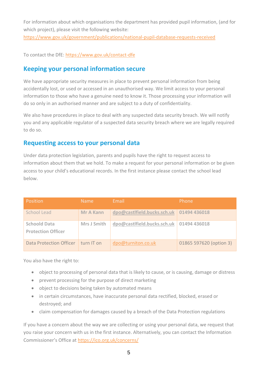For information about which organisations the department has provided pupil information, (and for which project), please visit the following website:

<https://www.gov.uk/government/publications/national-pupil-database-requests-received>

To contact the DfE:<https://www.gov.uk/contact-dfe>

#### **Keeping your personal information secure**

We have appropriate security measures in place to prevent personal information from being accidentally lost, or used or accessed in an unauthorised way. We limit access to your personal information to those who have a genuine need to know it. Those processing your information will do so only in an authorised manner and are subject to a duty of confidentiality.

We also have procedures in place to deal with any suspected data security breach. We will notify you and any applicable regulator of a suspected data security breach where we are legally required to do so.

#### **Requesting access to your personal data**

Under data protection legislation, parents and pupils have the right to request access to information about them that we hold. To make a request for your personal information or be given access to your child's educational records. In the first instance please contact the school lead below.

| Position                                         | <b>Name</b>      | Email                       | Phone                   |
|--------------------------------------------------|------------------|-----------------------------|-------------------------|
| School Lead                                      | <b>Mr A Kann</b> | dpo@castlfield.bucks.sch.uk | 01494 436018            |
| <b>Schoold Data</b><br><b>Protection Officer</b> | Mrs J Smith      | dpo@castlfield.bucks.sch.uk | 01494 436018            |
| Data Protection Officer                          | turn IT on       | dpo@turniton.co.uk          | 01865 597620 (option 3) |

You also have the right to:

- object to processing of personal data that is likely to cause, or is causing, damage or distress
- prevent processing for the purpose of direct marketing
- object to decisions being taken by automated means
- in certain circumstances, have inaccurate personal data rectified, blocked, erased or destroyed; and
- claim compensation for damages caused by a breach of the Data Protection regulations

If you have a concern about the way we are collecting or using your personal data, we request that you raise your concern with us in the first instance. Alternatively, you can contact the Information Commissioner's Office at <https://ico.org.uk/concerns/>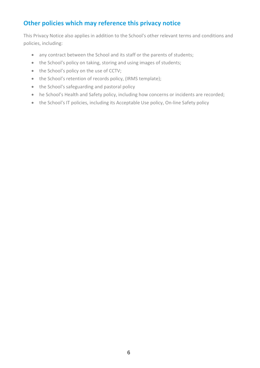# **Other policies which may reference this privacy notice**

This Privacy Notice also applies in addition to the School's other relevant terms and conditions and policies, including:

- any contract between the School and its staff or the parents of students;
- the School's policy on taking, storing and using images of students;
- the School's policy on the use of CCTV;
- the School's retention of records policy, (IRMS template);
- the School's safeguarding and pastoral policy
- he School's Health and Safety policy, including how concerns or incidents are recorded;
- the School's IT policies, including its Acceptable Use policy, On-line Safety policy